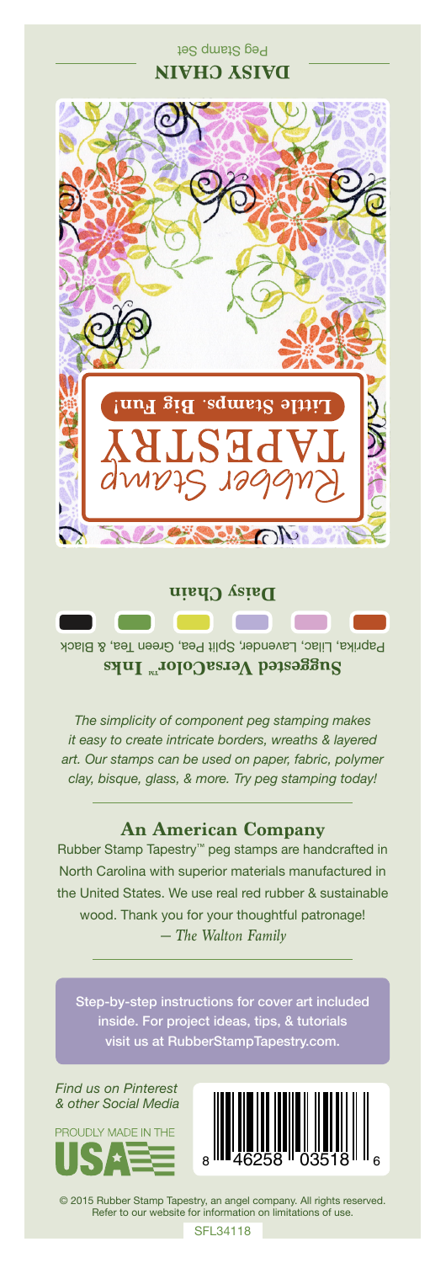## **DAISY CHAIN** ittle Stamps. Big una 55  $\sqrt{2}$ **Daisy Chain**

Peg Stamp Set

Paprika, Lilac, Lavender, Split Pea, Green Tea, & Black **Suggested VersaColor** Inks

**Contract** 

*The simplicity of component peg stamping makes it easy to create intricate borders, wreaths & layered art. Our stamps can be used on paper, fabric, polymer clay, bisque, glass, & more. Try peg stamping today!*

## **An American Company**

*— The Walton Family* Rubber Stamp Tapestry™ peg stamps are handcrafted in North Carolina with superior materials manufactured in the United States. We use real red rubber & sustainable wood. Thank you for your thoughtful patronage!

Step-by-step instructions for cover art included inside. For project ideas, tips, & tutorials visit us at RubberStampTapestry.com.

*Find us on Pinterest & other Social Media*





© 2015 Rubber Stamp Tapestry, an angel company. All rights reserved. Refer to our website for information on limitations of use.